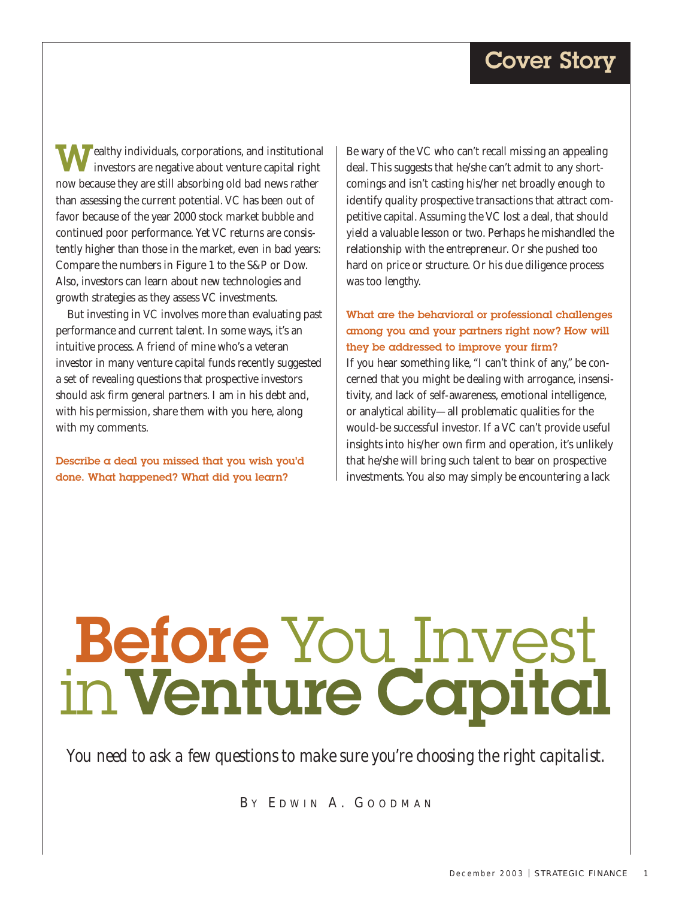# Cover Story

**Fealthy individuals, corporations, and institutional** investors are negative about venture capital right now because they are still absorbing old bad news rather than assessing the current potential. VC has been out of favor because of the year 2000 stock market bubble and continued poor performance. Yet VC returns are consistently higher than those in the market, even in bad years: Compare the numbers in Figure 1 to the S&P or Dow. Also, investors can learn about new technologies and growth strategies as they assess VC investments.

But investing in VC involves more than evaluating past performance and current talent. In some ways, it's an intuitive process. A friend of mine who's a veteran investor in many venture capital funds recently suggested a set of revealing questions that prospective investors should ask firm general partners. I am in his debt and, with his permission, share them with you here, along with my comments.

Describe  $\alpha$  deal you missed that you wish you'd done. What happened? What did you learn?

Be wary of the VC who can't recall missing an appealing deal. This suggests that he/she can't admit to any shortcomings and isn't casting his/her net broadly enough to identify quality prospective transactions that attract competitive capital. Assuming the VC lost a deal, that should yield a valuable lesson or two. Perhaps he mishandled the relationship with the entrepreneur. Or she pushed too hard on price or structure. Or his due diligence process was too lengthy.

# What are the behavioral or professional challenges among you and your partners right now? How will they be addressed to improve your firm?

If you hear something like, "I can't think of any," be concerned that you might be dealing with arrogance, insensitivity, and lack of self-awareness, emotional intelligence, or analytical ability—all problematic qualities for the would-be successful investor. If a VC can't provide useful insights into his/her own firm and operation, it's unlikely that he/she will bring such talent to bear on prospective investments. You also may simply be encountering a lack

# Before You Invest inVenture Capital

*You need to ask a few questions to make sure you're choosing the right capitalist.*

B Y E DWIN A. G O ODMAN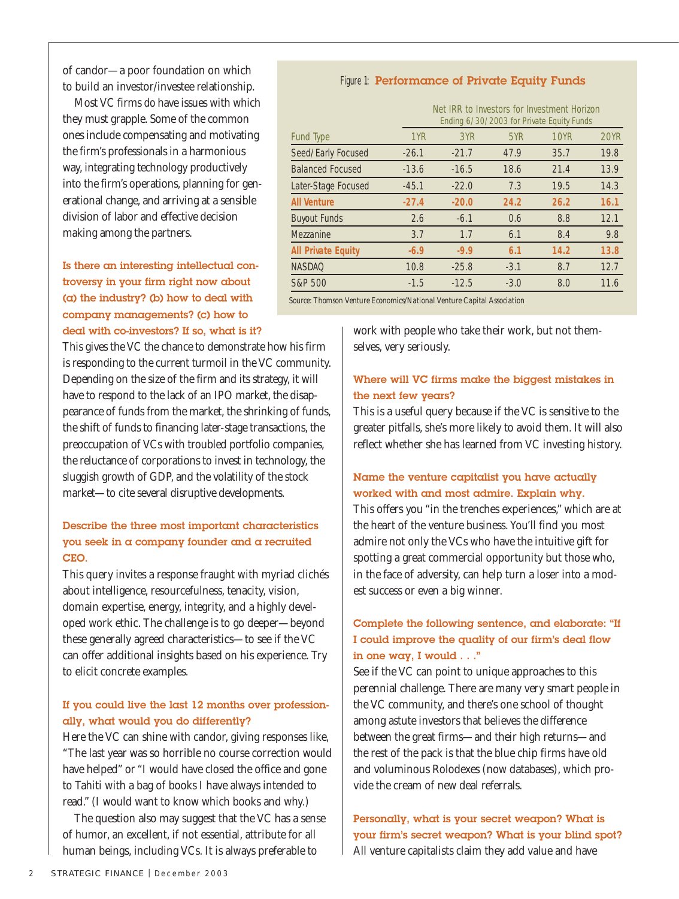of candor—a poor foundation on which to build an investor/investee relationship.

Most VC firms *do* have issues with which they must grapple. Some of the common ones include compensating and motivating the firm's professionals in a harmonious way, integrating technology productively into the firm's operations, planning for generational change, and arriving at a sensible division of labor and effective decision making among the partners.

# Is there an interesting intellectual controversy in your firm right now about (a) the industry? (b) how to deal with company managements? (c) how to deal with co-investors? If so, what is it?

This gives the VC the chance to demonstrate how his firm is responding to the current turmoil in the VC community. Depending on the size of the firm and its strategy, it will have to respond to the lack of an IPO market, the disappearance of funds from the market, the shrinking of funds, the shift of funds to financing later-stage transactions, the preoccupation of VCs with troubled portfolio companies, the reluctance of corporations to invest in technology, the sluggish growth of GDP, and the volatility of the stock market—to cite several disruptive developments.

#### Describe the three most important characteristics you seek in a company founder and a recruited CEO.

This query invites a response fraught with myriad clichés about intelligence, resourcefulness, tenacity, vision, domain expertise, energy, integrity, and a highly developed work ethic. The challenge is to go deeper—beyond these generally agreed characteristics—to see if the VC can offer additional insights based on his experience. Try to elicit concrete examples.

## If you could live the last 12 months over professionally, what would you do differently?

Here the VC can shine with candor, giving responses like, "The last year was so horrible no course correction would have helped" or "I would have closed the office and gone to Tahiti with a bag of books I have always intended to read." (I would want to know which books and why.)

The question also may suggest that the VC has a sense of humor, an excellent, if not essential, attribute for all human beings, including VCs. It is always preferable to

#### Figure 1: Performance of Private Equity Funds

|                           | Net IRR to Investors for Investment Horizon<br>Ending 6/30/2003 for Private Equity Funds |         |        |      |             |
|---------------------------|------------------------------------------------------------------------------------------|---------|--------|------|-------------|
| <b>Fund Type</b>          | 1YR                                                                                      | 3YR     | 5YR    | 10YR | <b>20YR</b> |
| Seed/Early Focused        | $-26.1$                                                                                  | $-21.7$ | 47.9   | 35.7 | 19.8        |
| <b>Balanced Focused</b>   | $-13.6$                                                                                  | $-16.5$ | 18.6   | 21.4 | 13.9        |
| Later-Stage Focused       | $-45.1$                                                                                  | $-22.0$ | 7.3    | 19.5 | 14.3        |
| <b>All Venture</b>        | $-27.4$                                                                                  | $-20.0$ | 24.2   | 26.2 | 16.1        |
| <b>Buyout Funds</b>       | 2.6                                                                                      | $-6.1$  | 0.6    | 8.8  | 12.1        |
| Mezzanine                 | 3.7                                                                                      | 1.7     | 6.1    | 8.4  | 9.8         |
| <b>All Private Equity</b> | $-6.9$                                                                                   | $-9.9$  | 6.1    | 14.2 | 13.8        |
| <b>NASDAQ</b>             | 10.8                                                                                     | $-25.8$ | $-3.1$ | 8.7  | 12.7        |
| S&P 500                   | $-1.5$                                                                                   | $-12.5$ | $-3.0$ | 8.0  | 11.6        |
|                           |                                                                                          |         |        |      |             |

*Source: Thomson Venture Economics/National Venture Capital Association* 

work with people who take their work, but not themselves, very seriously.

# Where will VC firms make the biggest mistakes in the next few years?

This is a useful query because if the VC is sensitive to the greater pitfalls, she's more likely to avoid them. It will also reflect whether she has learned from VC investing history.

# Name the venture capitalist you have actually worked with and most admire. Explain why.

This offers you "in the trenches experiences," which are at the heart of the venture business. You'll find you most admire not only the VCs who have the intuitive gift for spotting a great commercial opportunity but those who, in the face of adversity, can help turn a loser into a modest success or even a big winner.

# Complete the following sentence, and elaborate: "If I could improve the quality of our firm's deal flow in one way, I would . . ."

See if the VC can point to unique approaches to this perennial challenge. There are many very smart people in the VC community, and there's one school of thought among astute investors that believes the difference between the great firms—and their high returns—and the rest of the pack is that the blue chip firms have old and voluminous Rolodexes (now databases), which provide the cream of new deal referrals.

Personally, what is your secret weapon? What is your firm's secret weapon? What is your blind spot? All venture capitalists claim they add value and have